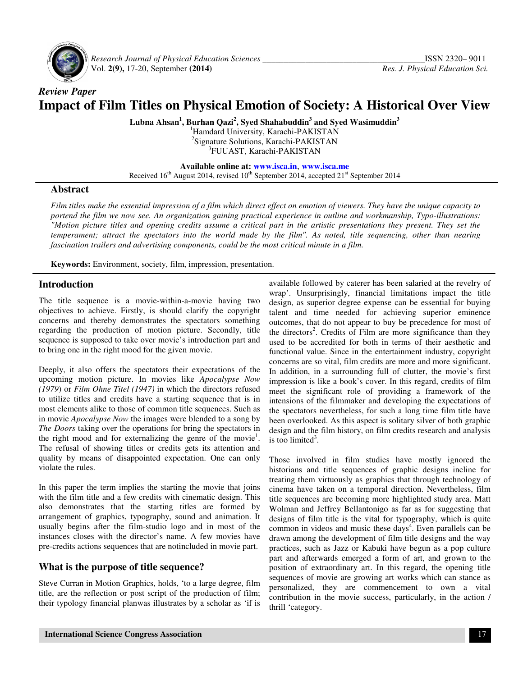

 *Research Journal of Physical Education Sciences \_\_\_\_\_\_\_\_\_\_\_\_\_\_\_\_\_\_\_\_\_\_\_\_\_\_\_\_\_\_\_\_\_\_\_\_\_\_*ISSN 2320– 9011 Vol. **2(9),** 17-20, September **(2014)** *Res. J. Physical Education Sci.*

# *Review Paper*  **Impact of Film Titles on Physical Emotion of Society: A Historical Over View**

**Lubna Ahsan<sup>1</sup> , Burhan Qazi<sup>2</sup> , Syed Shahabuddin<sup>3</sup> and Syed Wasimuddin<sup>3</sup>**

<sup>1</sup>Hamdard University, Karachi-PAKISTAN <sup>2</sup>Signature Solutions, Karachi-PAKISTAN 3 FUUAST, Karachi-PAKISTAN

**Available online at: www.isca.in**, **www.isca.me**

Received  $16<sup>th</sup>$  August 2014, revised  $10<sup>th</sup>$  September 2014, accepted  $21<sup>st</sup>$  September 2014

#### **Abstract**

*Film titles make the essential impression of a film which direct effect on emotion of viewers. They have the unique capacity to portend the film we now see. An organization gaining practical experience in outline and workmanship, Typo-illustrations: "Motion picture titles and opening credits assume a critical part in the artistic presentations they present. They set the temperament; attract the spectators into the world made by the film". As noted, title sequencing, other than nearing fascination trailers and advertising components, could be the most critical minute in a film.* 

**Keywords:** Environment, society, film, impression, presentation.

#### **Introduction**

The title sequence is a movie-within-a-movie having two objectives to achieve. Firstly, is should clarify the copyright concerns and thereby demonstrates the spectators something regarding the production of motion picture. Secondly, title sequence is supposed to take over movie's introduction part and to bring one in the right mood for the given movie.

Deeply, it also offers the spectators their expectations of the upcoming motion picture. In movies like *Apocalypse Now (1979*) or *Film Ohne Titel (1947)* in which the directors refused to utilize titles and credits have a starting sequence that is in most elements alike to those of common title sequences. Such as in movie *Apocalypse Now* the images were blended to a song by *The Doors* taking over the operations for bring the spectators in the right mood and for externalizing the genre of the movie<sup>1</sup>. The refusal of showing titles or credits gets its attention and quality by means of disappointed expectation. One can only violate the rules.

In this paper the term implies the starting the movie that joins with the film title and a few credits with cinematic design. This also demonstrates that the starting titles are formed by arrangement of graphics, typography, sound and animation. It usually begins after the film-studio logo and in most of the instances closes with the director's name. A few movies have pre-credits actions sequences that are notincluded in movie part.

# **What is the purpose of title sequence?**

Steve Curran in Motion Graphics, holds, 'to a large degree, film title, are the reflection or post script of the production of film; their typology financial planwas illustrates by a scholar as 'if is available followed by caterer has been salaried at the revelry of wrap'. Unsurprisingly, financial limitations impact the title design, as superior degree expense can be essential for buying talent and time needed for achieving superior eminence outcomes, that do not appear to buy be precedence for most of the directors<sup>2</sup>. Credits of Film are more significance than they used to be accredited for both in terms of their aesthetic and functional value. Since in the entertainment industry, copyright concerns are so vital, film credits are more and more significant. In addition, in a surrounding full of clutter, the movie's first impression is like a book's cover. In this regard, credits of film meet the significant role of providing a framework of the intensions of the filmmaker and developing the expectations of the spectators nevertheless, for such a long time film title have been overlooked. As this aspect is solitary silver of both graphic design and the film history, on film credits research and analysis is too limited<sup>3</sup>.

Those involved in film studies have mostly ignored the historians and title sequences of graphic designs incline for treating them virtuously as graphics that through technology of cinema have taken on a temporal direction. Nevertheless, film title sequences are becoming more highlighted study area. Matt Wolman and Jeffrey Bellantonigo as far as for suggesting that designs of film title is the vital for typography, which is quite common in videos and music these days<sup>4</sup>. Even parallels can be drawn among the development of film title designs and the way practices, such as Jazz or Kabuki have begun as a pop culture part and afterwards emerged a form of art, and grown to the position of extraordinary art. In this regard, the opening title sequences of movie are growing art works which can stance as personalized, they are commencement to own a vital contribution in the movie success, particularly, in the action / thrill 'category.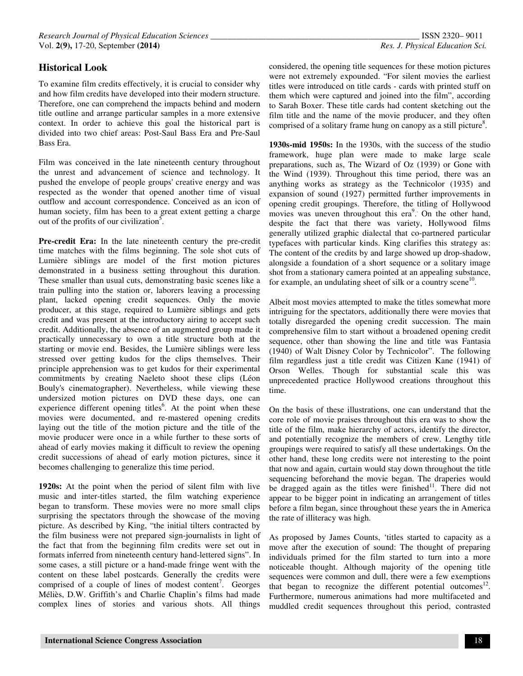# **Historical Look**

To examine film credits effectively, it is crucial to consider why and how film credits have developed into their modern structure. Therefore, one can comprehend the impacts behind and modern title outline and arrange particular samples in a more extensive context. In order to achieve this goal the historical part is divided into two chief areas: Post-Saul Bass Era and Pre-Saul Bass Era.

Film was conceived in the late nineteenth century throughout the unrest and advancement of science and technology. It pushed the envelope of people groups' creative energy and was respected as the wonder that opened another time of visual outflow and account correspondence. Conceived as an icon of human society, film has been to a great extent getting a charge out of the profits of our civilization<sup>5</sup>.

**Pre-credit Era:** In the late nineteenth century the pre-credit time matches with the films beginning. The sole shot cuts of Lumière siblings are model of the first motion pictures demonstrated in a business setting throughout this duration. These smaller than usual cuts, demonstrating basic scenes like a train pulling into the station or, laborers leaving a processing plant, lacked opening credit sequences. Only the movie producer, at this stage, required to Lumière siblings and gets credit and was present at the introductory airing to accept such credit. Additionally, the absence of an augmented group made it practically unnecessary to own a title structure both at the starting or movie end. Besides, the Lumière siblings were less stressed over getting kudos for the clips themselves. Their principle apprehension was to get kudos for their experimental commitments by creating Naeleto shoot these clips (Léon Bouly's cinematographer). Nevertheless, while viewing these undersized motion pictures on DVD these days, one can experience different opening titles<sup>6</sup>. At the point when these movies were documented, and re-mastered opening credits laying out the title of the motion picture and the title of the movie producer were once in a while further to these sorts of ahead of early movies making it difficult to review the opening credit successions of ahead of early motion pictures, since it becomes challenging to generalize this time period.

**1920s:** At the point when the period of silent film with live music and inter-titles started, the film watching experience began to transform. These movies were no more small clips surprising the spectators through the showcase of the moving picture. As described by King, "the initial tilters contracted by the film business were not prepared sign-journalists in light of the fact that from the beginning film credits were set out in formats inferred from nineteenth century hand-lettered signs". In some cases, a still picture or a hand-made fringe went with the content on these label postcards. Generally the credits were comprised of a couple of lines of modest content<sup>7</sup>. Georges Méliès, D.W. Griffith's and Charlie Chaplin's films had made complex lines of stories and various shots. All things

considered, the opening title sequences for these motion pictures were not extremely expounded. "For silent movies the earliest titles were introduced on title cards - cards with printed stuff on them which were captured and joined into the film", according to Sarah Boxer. These title cards had content sketching out the film title and the name of the movie producer, and they often comprised of a solitary frame hung on canopy as a still picture<sup>8</sup>.

**1930s-mid 1950s:** In the 1930s, with the success of the studio framework, huge plan were made to make large scale preparations, such as, The Wizard of Oz (1939) or Gone with the Wind (1939). Throughout this time period, there was an anything works as strategy as the Technicolor (1935) and expansion of sound (1927) permitted further improvements in opening credit groupings. Therefore, the titling of Hollywood movies was uneven throughout this era<sup>9</sup>. On the other hand, despite the fact that there was variety, Hollywood films generally utilized graphic dialectal that co-partnered particular typefaces with particular kinds. King clarifies this strategy as: The content of the credits by and large showed up drop-shadow, alongside a foundation of a short sequence or a solitary image shot from a stationary camera pointed at an appealing substance, for example, an undulating sheet of silk or a country scene<sup>10</sup>.

Albeit most movies attempted to make the titles somewhat more intriguing for the spectators, additionally there were movies that totally disregarded the opening credit succession. The main comprehensive film to start without a broadened opening credit sequence, other than showing the line and title was Fantasia (1940) of Walt Disney Color by Technicolor". The following film regardless just a title credit was Citizen Kane (1941) of Orson Welles. Though for substantial scale this was unprecedented practice Hollywood creations throughout this time.

On the basis of these illustrations, one can understand that the core role of movie praises throughout this era was to show the title of the film, make hierarchy of actors, identify the director, and potentially recognize the members of crew. Lengthy title groupings were required to satisfy all these undertakings. On the other hand, these long credits were not interesting to the point that now and again, curtain would stay down throughout the title sequencing beforehand the movie began. The draperies would be dragged again as the titles were finished $11$ . There did not appear to be bigger point in indicating an arrangement of titles before a film began, since throughout these years the in America the rate of illiteracy was high.

As proposed by James Counts, 'titles started to capacity as a move after the execution of sound: The thought of preparing individuals primed for the film started to turn into a more noticeable thought. Although majority of the opening title sequences were common and dull, there were a few exemptions that began to recognize the different potential outcomes<sup>12</sup>. Furthermore, numerous animations had more multifaceted and muddled credit sequences throughout this period, contrasted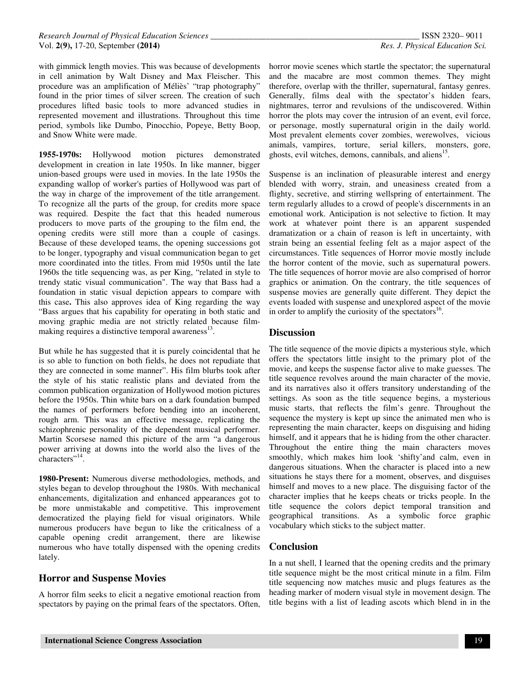with gimmick length movies. This was because of developments in cell animation by Walt Disney and Max Fleischer. This procedure was an amplification of Méliès' "trap photography" found in the prior times of silver screen. The creation of such procedures lifted basic tools to more advanced studies in represented movement and illustrations. Throughout this time period, symbols like Dumbo, Pinocchio, Popeye, Betty Boop, and Snow White were made.

**1955-1970s:** Hollywood motion pictures demonstrated development in creation in late 1950s. In like manner, bigger union-based groups were used in movies. In the late 1950s the expanding wallop of worker's parties of Hollywood was part of the way in charge of the improvement of the title arrangement. To recognize all the parts of the group, for credits more space was required. Despite the fact that this headed numerous producers to move parts of the grouping to the film end, the opening credits were still more than a couple of casings. Because of these developed teams, the opening successions got to be longer, typography and visual communication began to get more coordinated into the titles. From mid 1950s until the late 1960s the title sequencing was, as per King, "related in style to trendy static visual communication". The way that Bass had a foundation in static visual depiction appears to compare with this case**.** This also approves idea of King regarding the way "Bass argues that his capability for operating in both static and moving graphic media are not strictly related because filmmaking requires a distinctive temporal awareness<sup>13</sup>.

But while he has suggested that it is purely coincidental that he is so able to function on both fields, he does not repudiate that they are connected in some manner". His film blurbs took after the style of his static realistic plans and deviated from the common publication organization of Hollywood motion pictures before the 1950s. Thin white bars on a dark foundation bumped the names of performers before bending into an incoherent, rough arm. This was an effective message, replicating the schizophrenic personality of the dependent musical performer. Martin Scorsese named this picture of the arm "a dangerous power arriving at downs into the world also the lives of the characters"<sup>14</sup>.

**1980-Present:** Numerous diverse methodologies, methods, and styles began to develop throughout the 1980s. With mechanical enhancements, digitalization and enhanced appearances got to be more unmistakable and competitive. This improvement democratized the playing field for visual originators. While numerous producers have begun to like the criticalness of a capable opening credit arrangement, there are likewise numerous who have totally dispensed with the opening credits lately.

# **Horror and Suspense Movies**

A horror film seeks to elicit a negative emotional reaction from spectators by paying on the primal fears of the spectators. Often, horror movie scenes which startle the spectator; the supernatural and the macabre are most common themes. They might therefore, overlap with the thriller, supernatural, fantasy genres. Generally, films deal with the spectator's hidden fears, nightmares, terror and revulsions of the undiscovered. Within horror the plots may cover the intrusion of an event, evil force, or personage, mostly supernatural origin in the daily world. Most prevalent elements cover zombies, werewolves, vicious animals, vampires, torture, serial killers, monsters, gore, ghosts, evil witches, demons, cannibals, and aliens<sup>15</sup>.

Suspense is an inclination of pleasurable interest and energy blended with worry, strain, and uneasiness created from a flighty, secretive, and stirring wellspring of entertainment. The term regularly alludes to a crowd of people's discernments in an emotional work. Anticipation is not selective to fiction. It may work at whatever point there is an apparent suspended dramatization or a chain of reason is left in uncertainty, with strain being an essential feeling felt as a major aspect of the circumstances. Title sequences of Horror movie mostly include the horror content of the movie, such as supernatural powers. The title sequences of horror movie are also comprised of horror graphics or animation. On the contrary, the title sequences of suspense movies are generally quite different. They depict the events loaded with suspense and unexplored aspect of the movie in order to amplify the curiosity of the spectators<sup>16</sup>.

#### **Discussion**

The title sequence of the movie dipicts a mysterious style, which offers the spectators little insight to the primary plot of the movie, and keeps the suspense factor alive to make guesses. The title sequence revolves around the main character of the movie, and its narratives also it offers transitory understanding of the settings. As soon as the title sequence begins, a mysterious music starts, that reflects the film's genre. Throughout the sequence the mystery is kept up since the animated men who is representing the main character, keeps on disguising and hiding himself, and it appears that he is hiding from the other character. Throughout the entire thing the main characters moves smoothly, which makes him look 'shifty'and calm, even in dangerous situations. When the character is placed into a new situations he stays there for a moment, observes, and disguises himself and moves to a new place. The disguising factor of the character implies that he keeps cheats or tricks people. In the title sequence the colors depict temporal transition and geographical transitions. As a symbolic force graphic vocabulary which sticks to the subject matter.

# **Conclusion**

In a nut shell, I learned that the opening credits and the primary title sequence might be the most critical minute in a film. Film title sequencing now matches music and plugs features as the heading marker of modern visual style in movement design. The title begins with a list of leading ascots which blend in in the